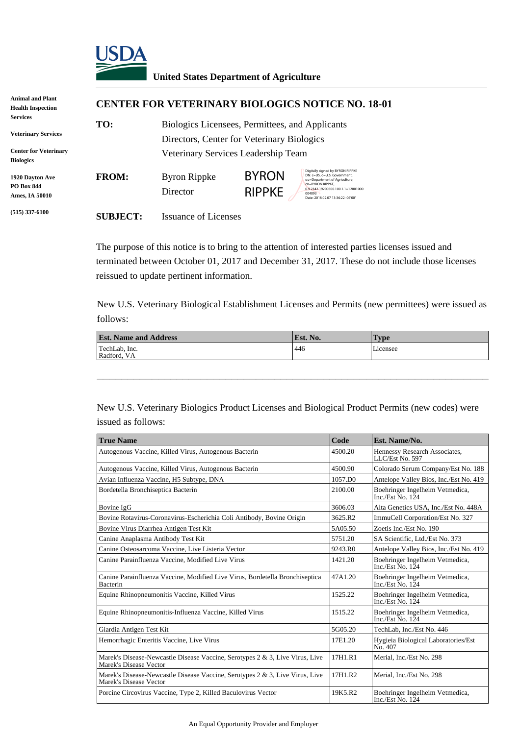

## **United States Department of Agriculture**

| <b>Animal and Plant</b><br><b>Health Inspection</b>           | <b>CENTER FOR VETERINARY BIOLOGICS NOTICE NO. 18-01</b> |                                                                                               |                               |                                                                                                                                                                                                            |
|---------------------------------------------------------------|---------------------------------------------------------|-----------------------------------------------------------------------------------------------|-------------------------------|------------------------------------------------------------------------------------------------------------------------------------------------------------------------------------------------------------|
| <b>Services</b><br><b>Veterinary Services</b>                 | TO:                                                     | Biologics Licensees, Permittees, and Applicants<br>Directors, Center for Veterinary Biologics |                               |                                                                                                                                                                                                            |
| <b>Center for Veterinary</b><br><b>Biologics</b>              |                                                         | Veterinary Services Leadership Team                                                           |                               |                                                                                                                                                                                                            |
| <b>1920 Dayton Ave</b><br><b>PO Box 844</b><br>Ames, IA 50010 | <b>FROM:</b>                                            | Byron Rippke<br>Director                                                                      | <b>BYRON</b><br><b>RIPPKE</b> | Digitally signed by BYRON RIPPKE<br>DN: c=US, o=U.S. Government,<br>ou=Department of Agriculture,<br>cn=BYRON RIPPKE.<br>0.9.2342.19200300.100.1.1=12001000<br>004093<br>Date: 2018.02.07 13:36:22 -06'00' |
| $(515)$ 337-6100                                              | <b>SUBJECT:</b>                                         | Issuance of Licenses                                                                          |                               |                                                                                                                                                                                                            |

The purpose of this notice is to bring to the attention of interested parties licenses issued and terminated between October 01, 2017 and December 31, 2017. These do not include those licenses reissued to update pertinent information.

New U.S. Veterinary Biological Establishment Licenses and Permits (new permittees) were issued as follows:

| <b>Est. Name and Address</b> | Est. No. | vpe      |
|------------------------------|----------|----------|
| TechLab, Inc.<br>Radford, VA | 446      | Licensee |
|                              |          |          |

\_\_\_\_\_\_\_\_\_\_\_\_\_\_\_\_\_\_\_\_\_\_\_\_\_\_\_\_\_\_\_\_\_\_\_\_\_\_\_\_\_\_\_\_\_\_\_\_\_\_\_\_\_\_\_\_\_\_\_\_\_\_\_\_

New U.S. Veterinary Biologics Product Licenses and Biological Product Permits (new codes) were issued as follows:

| <b>True Name</b>                                                                                       | Code    | Est. Name/No.                                                     |
|--------------------------------------------------------------------------------------------------------|---------|-------------------------------------------------------------------|
| Autogenous Vaccine, Killed Virus, Autogenous Bacterin                                                  | 4500.20 | Hennessy Research Associates,<br>LLC/Est No. 597                  |
| Autogenous Vaccine, Killed Virus, Autogenous Bacterin                                                  | 4500.90 | Colorado Serum Company/Est No. 188                                |
| Avian Influenza Vaccine, H5 Subtype, DNA                                                               | 1057.DO | Antelope Valley Bios, Inc./Est No. 419                            |
| Bordetella Bronchiseptica Bacterin                                                                     | 2100.00 | Boehringer Ingelheim Vetmedica,<br>Inc./Est No. $124$             |
| Bovine IgG                                                                                             | 3606.03 | Alta Genetics USA, Inc./Est No. 448A                              |
| Bovine Rotavirus-Coronavirus-Escherichia Coli Antibody, Bovine Origin                                  | 3625.R2 | ImmuCell Corporation/Est No. 327                                  |
| Bovine Virus Diarrhea Antigen Test Kit                                                                 | 5A05.50 | Zoetis Inc./Est No. 190                                           |
| Canine Anaplasma Antibody Test Kit                                                                     | 5751.20 | SA Scientific, Ltd./Est No. 373                                   |
| Canine Osteosarcoma Vaccine. Live Listeria Vector                                                      | 9243.R0 | Antelope Valley Bios, Inc./Est No. 419                            |
| Canine Parainfluenza Vaccine, Modified Live Virus                                                      | 1421.20 | Boehringer Ingelheim Vetmedica,<br>Inc./Est $\overline{N}$ o. 124 |
| Canine Parainfluenza Vaccine, Modified Live Virus, Bordetella Bronchiseptica<br>Bacterin               | 47A1.20 | Boehringer Ingelheim Vetmedica,<br>Inc./Est No. $124$             |
| Equine Rhinopneumonitis Vaccine, Killed Virus                                                          | 1525.22 | Boehringer Ingelheim Vetmedica,<br>Inc./Est $\overline{N}$ o. 124 |
| Equine Rhinopneumonitis-Influenza Vaccine, Killed Virus                                                | 1515.22 | Boehringer Ingelheim Vetmedica,<br>Inc./Est No. $124$             |
| Giardia Antigen Test Kit                                                                               | 5G05.20 | TechLab, Inc./Est No. 446                                         |
| Hemorrhagic Enteritis Vaccine, Live Virus                                                              | 17E1.20 | Hygieia Biological Laboratories/Est<br>No. 407                    |
| Marek's Disease-Newcastle Disease Vaccine, Serotypes 2 & 3, Live Virus, Live<br>Marek's Disease Vector | 17H1.R1 | Merial, Inc./Est No. 298                                          |
| Marek's Disease-Newcastle Disease Vaccine, Serotypes 2 & 3, Live Virus, Live<br>Marek's Disease Vector | 17H1.R2 | Merial, Inc./Est No. 298                                          |
| Porcine Circovirus Vaccine, Type 2, Killed Baculovirus Vector                                          | 19K5.R2 | Boehringer Ingelheim Vetmedica,<br>Inc./Est No. 124               |